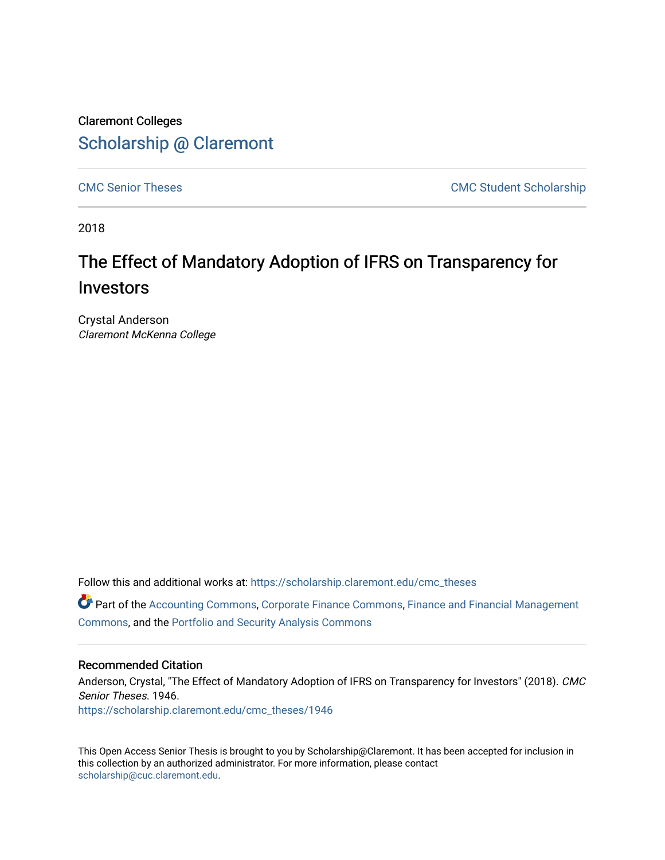Claremont Colleges [Scholarship @ Claremont](https://scholarship.claremont.edu/) 

[CMC Senior Theses](https://scholarship.claremont.edu/cmc_theses) CMC Student Scholarship

2018

# The Effect of Mandatory Adoption of IFRS on Transparency for Investors

Crystal Anderson Claremont McKenna College

Follow this and additional works at: [https://scholarship.claremont.edu/cmc\\_theses](https://scholarship.claremont.edu/cmc_theses?utm_source=scholarship.claremont.edu%2Fcmc_theses%2F1946&utm_medium=PDF&utm_campaign=PDFCoverPages) 

Part of the [Accounting Commons](http://network.bepress.com/hgg/discipline/625?utm_source=scholarship.claremont.edu%2Fcmc_theses%2F1946&utm_medium=PDF&utm_campaign=PDFCoverPages), [Corporate Finance Commons,](http://network.bepress.com/hgg/discipline/629?utm_source=scholarship.claremont.edu%2Fcmc_theses%2F1946&utm_medium=PDF&utm_campaign=PDFCoverPages) [Finance and Financial Management](http://network.bepress.com/hgg/discipline/631?utm_source=scholarship.claremont.edu%2Fcmc_theses%2F1946&utm_medium=PDF&utm_campaign=PDFCoverPages) [Commons](http://network.bepress.com/hgg/discipline/631?utm_source=scholarship.claremont.edu%2Fcmc_theses%2F1946&utm_medium=PDF&utm_campaign=PDFCoverPages), and the [Portfolio and Security Analysis Commons](http://network.bepress.com/hgg/discipline/640?utm_source=scholarship.claremont.edu%2Fcmc_theses%2F1946&utm_medium=PDF&utm_campaign=PDFCoverPages) 

#### Recommended Citation

Anderson, Crystal, "The Effect of Mandatory Adoption of IFRS on Transparency for Investors" (2018). CMC Senior Theses. 1946.

[https://scholarship.claremont.edu/cmc\\_theses/1946](https://scholarship.claremont.edu/cmc_theses/1946?utm_source=scholarship.claremont.edu%2Fcmc_theses%2F1946&utm_medium=PDF&utm_campaign=PDFCoverPages) 

This Open Access Senior Thesis is brought to you by Scholarship@Claremont. It has been accepted for inclusion in this collection by an authorized administrator. For more information, please contact [scholarship@cuc.claremont.edu.](mailto:scholarship@cuc.claremont.edu)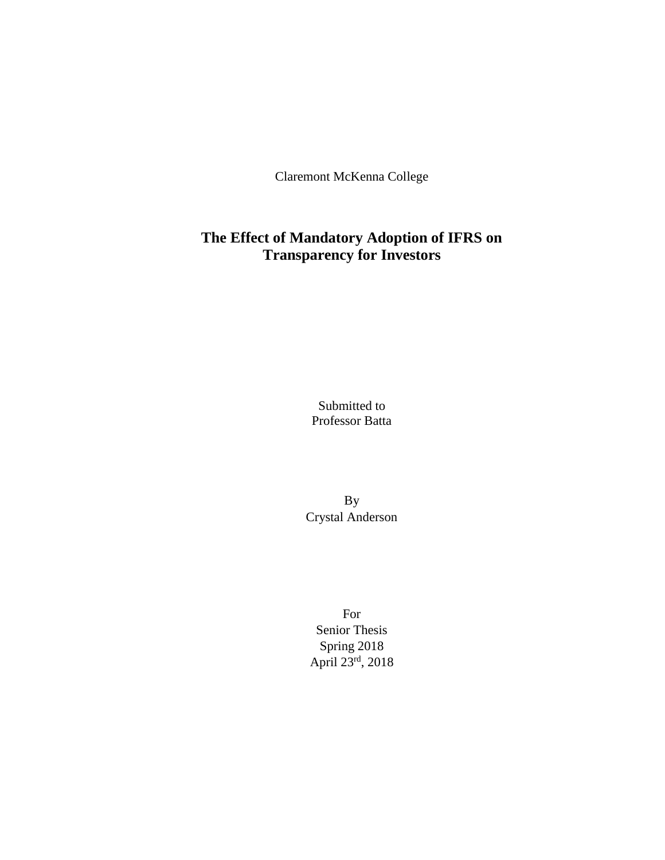Claremont McKenna College

# **The Effect of Mandatory Adoption of IFRS on Transparency for Investors**

Submitted to Professor Batta

By Crystal Anderson

For Senior Thesis Spring 2018 April  $23^{\text{rd}}$ , 2018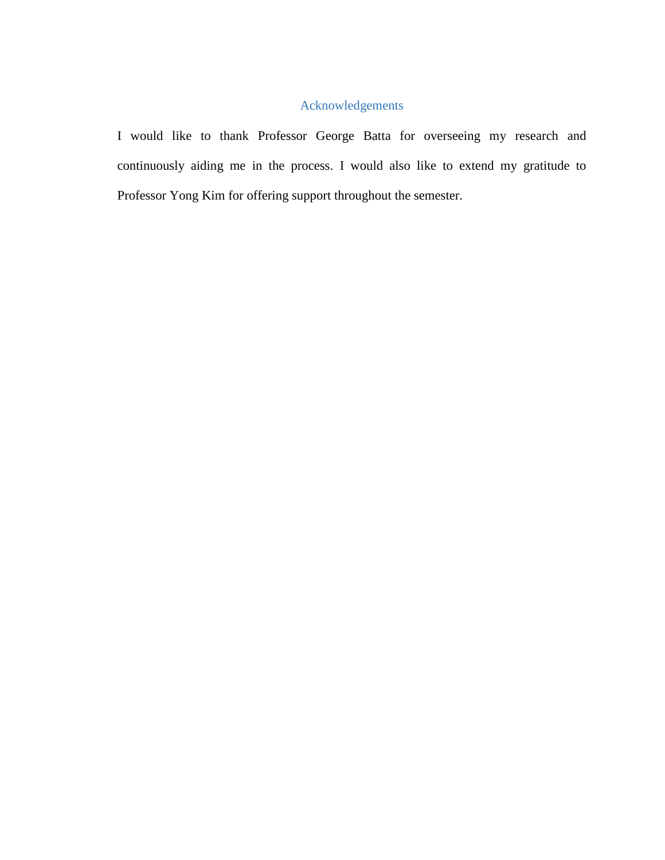# Acknowledgements

I would like to thank Professor George Batta for overseeing my research and continuously aiding me in the process. I would also like to extend my gratitude to Professor Yong Kim for offering support throughout the semester.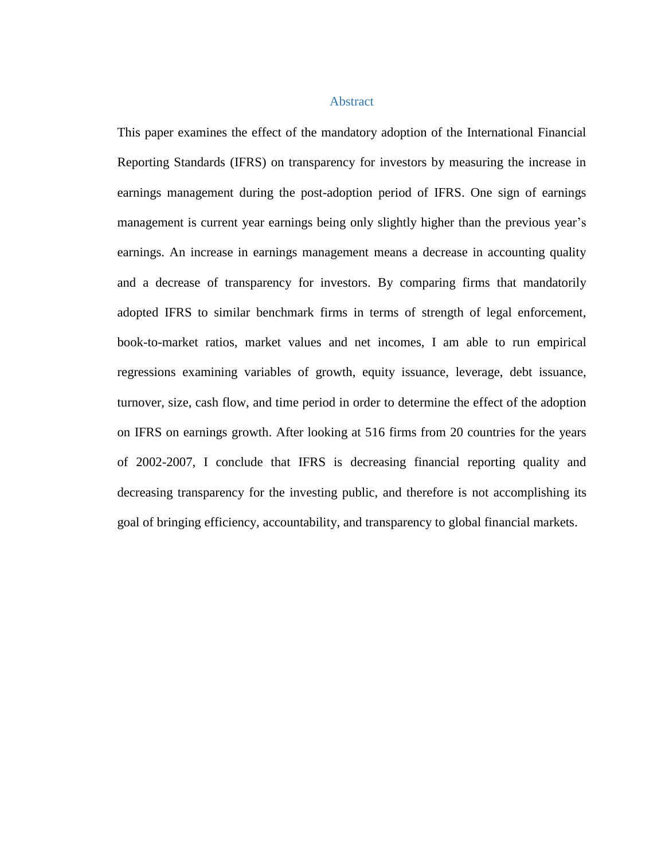## Abstract

This paper examines the effect of the mandatory adoption of the International Financial Reporting Standards (IFRS) on transparency for investors by measuring the increase in earnings management during the post-adoption period of IFRS. One sign of earnings management is current year earnings being only slightly higher than the previous year's earnings. An increase in earnings management means a decrease in accounting quality and a decrease of transparency for investors. By comparing firms that mandatorily adopted IFRS to similar benchmark firms in terms of strength of legal enforcement, book-to-market ratios, market values and net incomes, I am able to run empirical regressions examining variables of growth, equity issuance, leverage, debt issuance, turnover, size, cash flow, and time period in order to determine the effect of the adoption on IFRS on earnings growth. After looking at 516 firms from 20 countries for the years of 2002-2007, I conclude that IFRS is decreasing financial reporting quality and decreasing transparency for the investing public, and therefore is not accomplishing its goal of bringing efficiency, accountability, and transparency to global financial markets.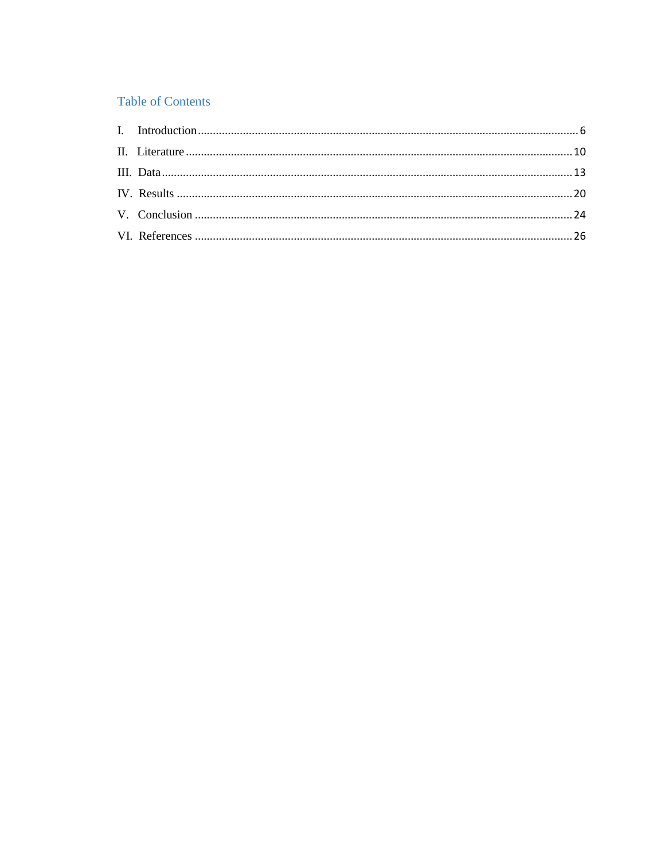## **Table of Contents**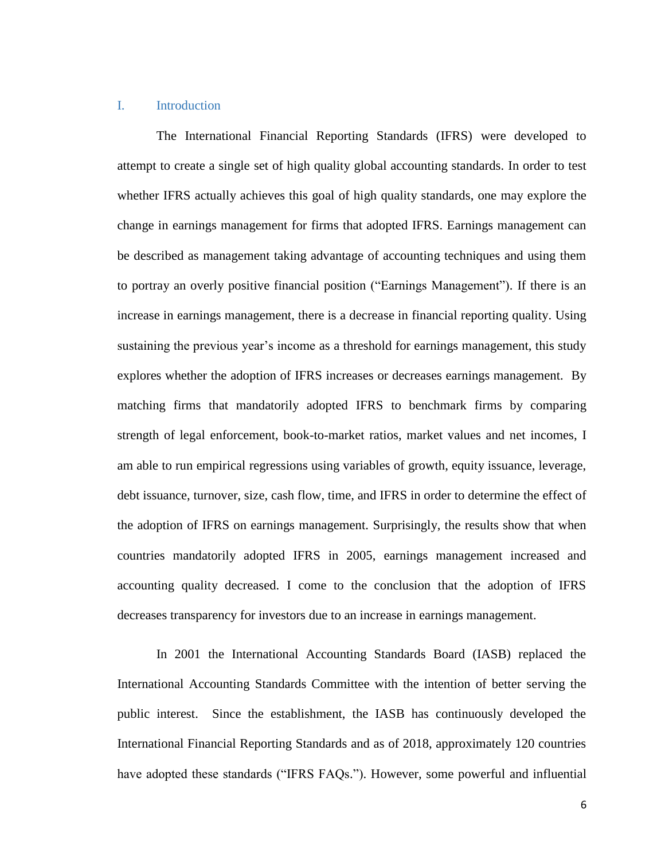### <span id="page-6-0"></span>I. Introduction

The International Financial Reporting Standards (IFRS) were developed to attempt to create a single set of high quality global accounting standards. In order to test whether IFRS actually achieves this goal of high quality standards, one may explore the change in earnings management for firms that adopted IFRS. Earnings management can be described as management taking advantage of accounting techniques and using them to portray an overly positive financial position ("Earnings Management"). If there is an increase in earnings management, there is a decrease in financial reporting quality. Using sustaining the previous year's income as a threshold for earnings management, this study explores whether the adoption of IFRS increases or decreases earnings management. By matching firms that mandatorily adopted IFRS to benchmark firms by comparing strength of legal enforcement, book-to-market ratios, market values and net incomes, I am able to run empirical regressions using variables of growth, equity issuance, leverage, debt issuance, turnover, size, cash flow, time, and IFRS in order to determine the effect of the adoption of IFRS on earnings management. Surprisingly, the results show that when countries mandatorily adopted IFRS in 2005, earnings management increased and accounting quality decreased. I come to the conclusion that the adoption of IFRS decreases transparency for investors due to an increase in earnings management.

In 2001 the International Accounting Standards Board (IASB) replaced the International Accounting Standards Committee with the intention of better serving the public interest. Since the establishment, the IASB has continuously developed the International Financial Reporting Standards and as of 2018, approximately 120 countries have adopted these standards ("IFRS FAQs."). However, some powerful and influential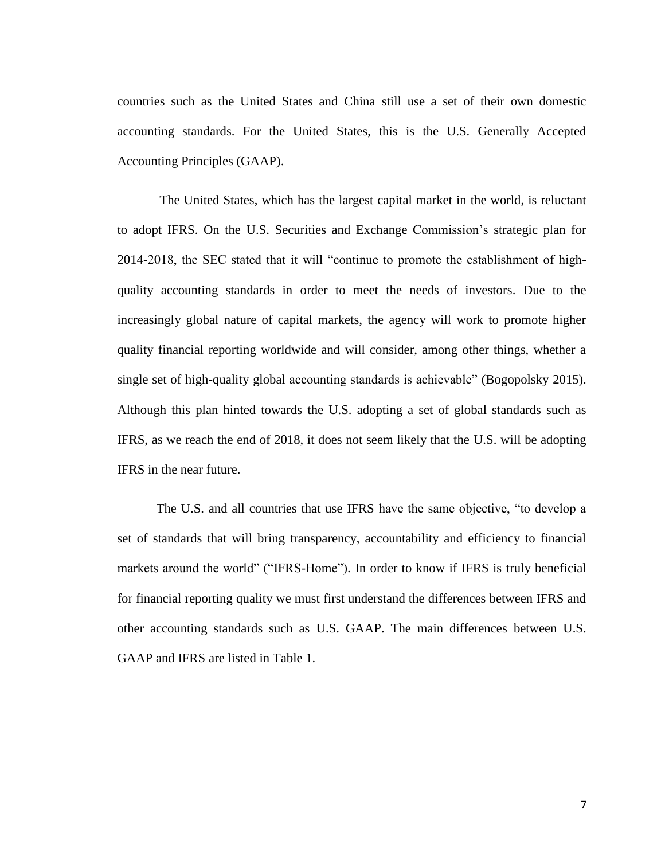countries such as the United States and China still use a set of their own domestic accounting standards. For the United States, this is the U.S. Generally Accepted Accounting Principles (GAAP).

The United States, which has the largest capital market in the world, is reluctant to adopt IFRS. On the U.S. Securities and Exchange Commission's strategic plan for 2014-2018, the SEC stated that it will "continue to promote the establishment of highquality accounting standards in order to meet the needs of investors. Due to the increasingly global nature of capital markets, the agency will work to promote higher quality financial reporting worldwide and will consider, among other things, whether a single set of high-quality global accounting standards is achievable" (Bogopolsky 2015). Although this plan hinted towards the U.S. adopting a set of global standards such as IFRS, as we reach the end of 2018, it does not seem likely that the U.S. will be adopting IFRS in the near future.

The U.S. and all countries that use IFRS have the same objective, "to develop a set of standards that will bring transparency, accountability and efficiency to financial markets around the world" ("IFRS-Home"). In order to know if IFRS is truly beneficial for financial reporting quality we must first understand the differences between IFRS and other accounting standards such as U.S. GAAP. The main differences between U.S. GAAP and IFRS are listed in Table 1.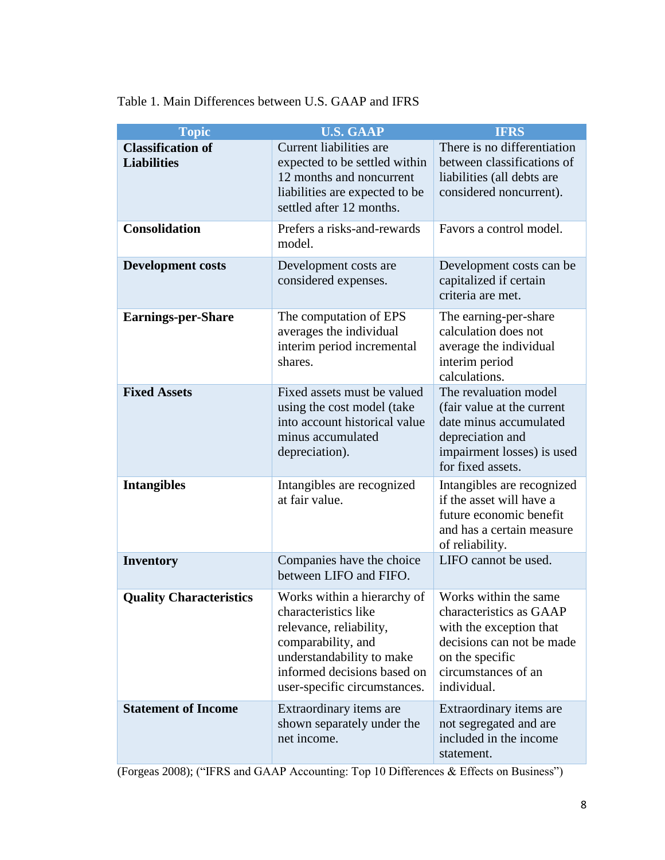# Table 1. Main Differences between U.S. GAAP and IFRS

| <b>Topic</b>                                   | <b>U.S. GAAP</b>                                                                                                                                                                                 | <b>IFRS</b>                                                                                                                                                       |
|------------------------------------------------|--------------------------------------------------------------------------------------------------------------------------------------------------------------------------------------------------|-------------------------------------------------------------------------------------------------------------------------------------------------------------------|
| <b>Classification of</b><br><b>Liabilities</b> | Current liabilities are<br>expected to be settled within<br>12 months and noncurrent<br>liabilities are expected to be<br>settled after 12 months.                                               | There is no differentiation<br>between classifications of<br>liabilities (all debts are<br>considered noncurrent).                                                |
| <b>Consolidation</b>                           | Prefers a risks-and-rewards<br>model.                                                                                                                                                            | Favors a control model.                                                                                                                                           |
| <b>Development costs</b>                       | Development costs are<br>considered expenses.                                                                                                                                                    | Development costs can be<br>capitalized if certain<br>criteria are met.                                                                                           |
| <b>Earnings-per-Share</b>                      | The computation of EPS<br>averages the individual<br>interim period incremental<br>shares.                                                                                                       | The earning-per-share<br>calculation does not<br>average the individual<br>interim period<br>calculations.                                                        |
| <b>Fixed Assets</b>                            | Fixed assets must be valued<br>using the cost model (take<br>into account historical value<br>minus accumulated<br>depreciation).                                                                | The revaluation model<br>(fair value at the current<br>date minus accumulated<br>depreciation and<br>impairment losses) is used<br>for fixed assets.              |
| <b>Intangibles</b>                             | Intangibles are recognized<br>at fair value.                                                                                                                                                     | Intangibles are recognized<br>if the asset will have a<br>future economic benefit<br>and has a certain measure<br>of reliability.                                 |
| <b>Inventory</b>                               | Companies have the choice<br>between LIFO and FIFO.                                                                                                                                              | LIFO cannot be used.                                                                                                                                              |
| <b>Quality Characteristics</b>                 | Works within a hierarchy of<br>characteristics like<br>relevance, reliability,<br>comparability, and<br>understandability to make<br>informed decisions based on<br>user-specific circumstances. | Works within the same<br>characteristics as GAAP<br>with the exception that<br>decisions can not be made<br>on the specific<br>circumstances of an<br>individual. |
| <b>Statement of Income</b>                     | Extraordinary items are<br>shown separately under the<br>net income.                                                                                                                             | Extraordinary items are<br>not segregated and are<br>included in the income<br>statement.                                                                         |

(Forgeas 2008); ("IFRS and GAAP Accounting: Top 10 Differences & Effects on Business")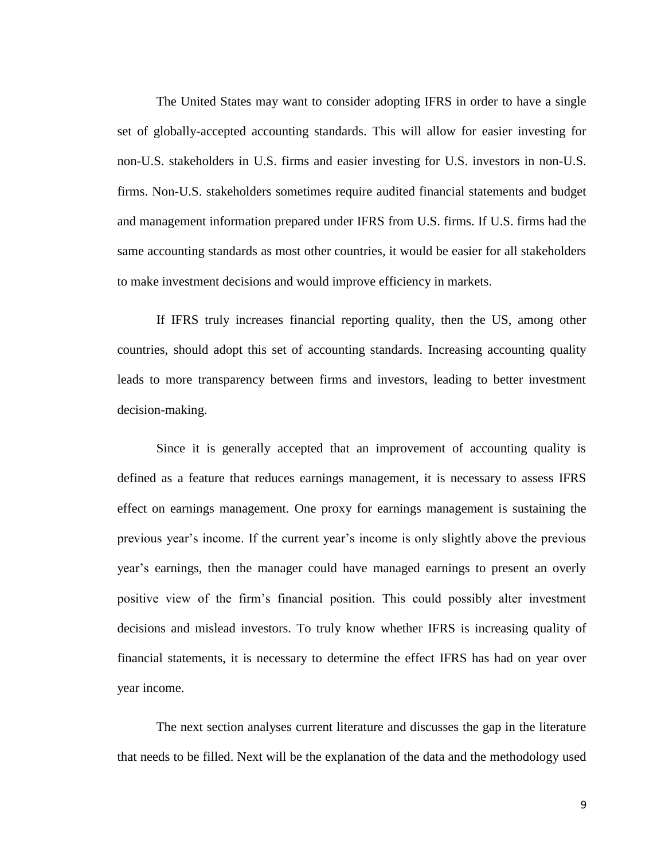The United States may want to consider adopting IFRS in order to have a single set of globally-accepted accounting standards. This will allow for easier investing for non-U.S. stakeholders in U.S. firms and easier investing for U.S. investors in non-U.S. firms. Non-U.S. stakeholders sometimes require audited financial statements and budget and management information prepared under IFRS from U.S. firms. If U.S. firms had the same accounting standards as most other countries, it would be easier for all stakeholders to make investment decisions and would improve efficiency in markets.

If IFRS truly increases financial reporting quality, then the US, among other countries, should adopt this set of accounting standards. Increasing accounting quality leads to more transparency between firms and investors, leading to better investment decision-making.

Since it is generally accepted that an improvement of accounting quality is defined as a feature that reduces earnings management, it is necessary to assess IFRS effect on earnings management. One proxy for earnings management is sustaining the previous year's income. If the current year's income is only slightly above the previous year's earnings, then the manager could have managed earnings to present an overly positive view of the firm's financial position. This could possibly alter investment decisions and mislead investors. To truly know whether IFRS is increasing quality of financial statements, it is necessary to determine the effect IFRS has had on year over year income.

The next section analyses current literature and discusses the gap in the literature that needs to be filled. Next will be the explanation of the data and the methodology used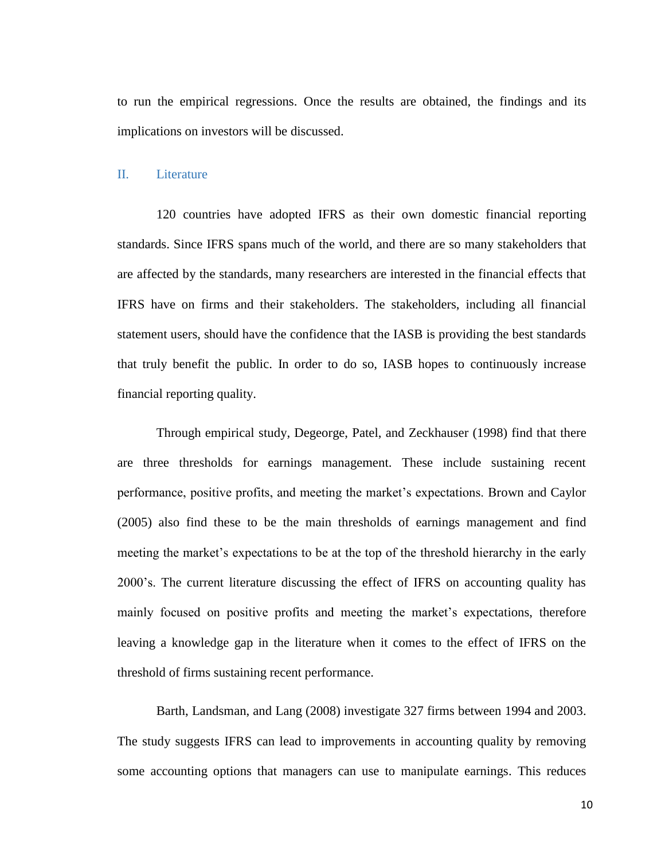to run the empirical regressions. Once the results are obtained, the findings and its implications on investors will be discussed.

#### <span id="page-10-0"></span>II. Literature

120 countries have adopted IFRS as their own domestic financial reporting standards. Since IFRS spans much of the world, and there are so many stakeholders that are affected by the standards, many researchers are interested in the financial effects that IFRS have on firms and their stakeholders. The stakeholders, including all financial statement users, should have the confidence that the IASB is providing the best standards that truly benefit the public. In order to do so, IASB hopes to continuously increase financial reporting quality.

Through empirical study, Degeorge, Patel, and Zeckhauser (1998) find that there are three thresholds for earnings management. These include sustaining recent performance, positive profits, and meeting the market's expectations. Brown and Caylor (2005) also find these to be the main thresholds of earnings management and find meeting the market's expectations to be at the top of the threshold hierarchy in the early 2000's. The current literature discussing the effect of IFRS on accounting quality has mainly focused on positive profits and meeting the market's expectations, therefore leaving a knowledge gap in the literature when it comes to the effect of IFRS on the threshold of firms sustaining recent performance.

Barth, Landsman, and Lang (2008) investigate 327 firms between 1994 and 2003. The study suggests IFRS can lead to improvements in accounting quality by removing some accounting options that managers can use to manipulate earnings. This reduces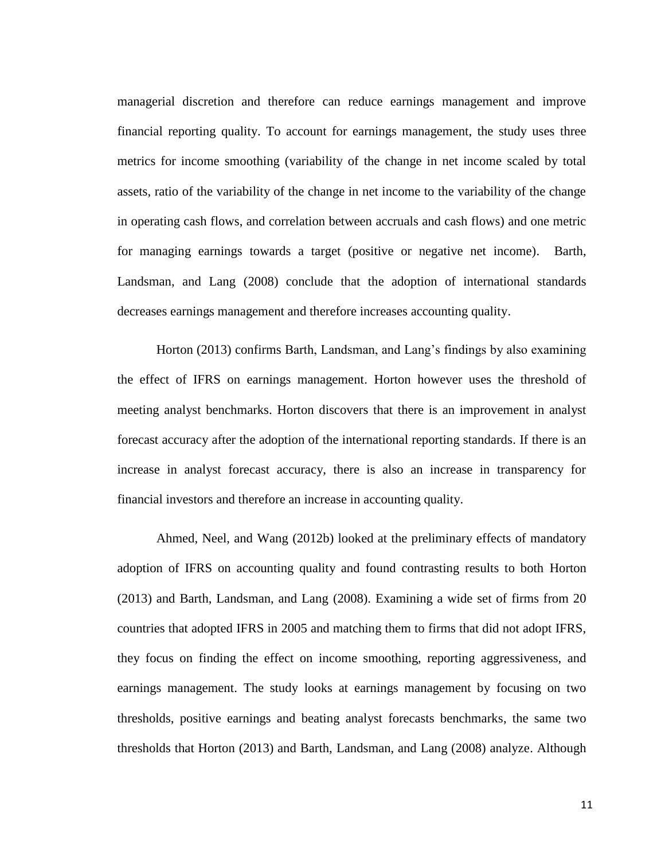managerial discretion and therefore can reduce earnings management and improve financial reporting quality. To account for earnings management, the study uses three metrics for income smoothing (variability of the change in net income scaled by total assets, ratio of the variability of the change in net income to the variability of the change in operating cash flows, and correlation between accruals and cash flows) and one metric for managing earnings towards a target (positive or negative net income). Barth, Landsman, and Lang (2008) conclude that the adoption of international standards decreases earnings management and therefore increases accounting quality.

Horton (2013) confirms Barth, Landsman, and Lang's findings by also examining the effect of IFRS on earnings management. Horton however uses the threshold of meeting analyst benchmarks. Horton discovers that there is an improvement in analyst forecast accuracy after the adoption of the international reporting standards. If there is an increase in analyst forecast accuracy, there is also an increase in transparency for financial investors and therefore an increase in accounting quality.

Ahmed, Neel, and Wang (2012b) looked at the preliminary effects of mandatory adoption of IFRS on accounting quality and found contrasting results to both Horton (2013) and Barth, Landsman, and Lang (2008). Examining a wide set of firms from 20 countries that adopted IFRS in 2005 and matching them to firms that did not adopt IFRS, they focus on finding the effect on income smoothing, reporting aggressiveness, and earnings management. The study looks at earnings management by focusing on two thresholds, positive earnings and beating analyst forecasts benchmarks, the same two thresholds that Horton (2013) and Barth, Landsman, and Lang (2008) analyze. Although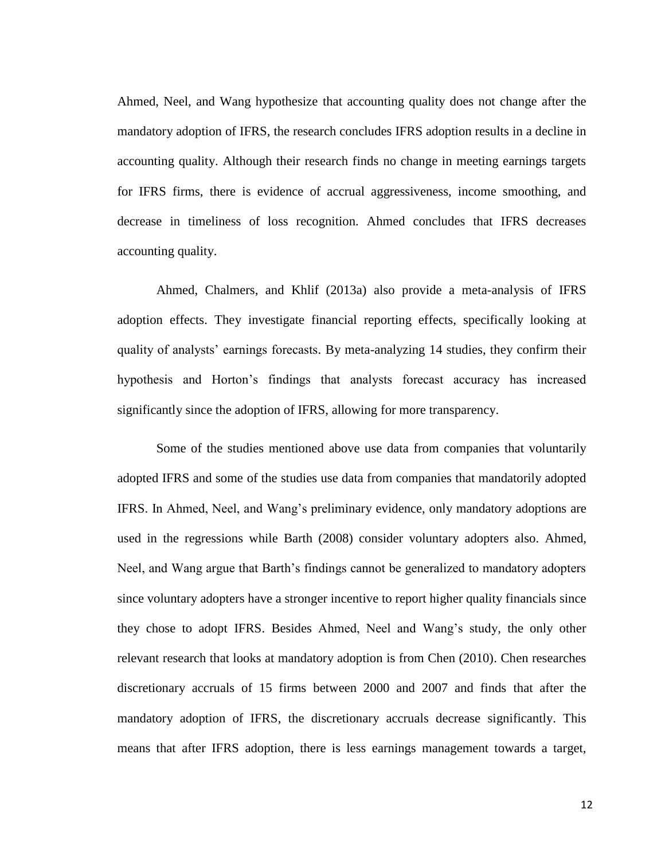Ahmed, Neel, and Wang hypothesize that accounting quality does not change after the mandatory adoption of IFRS, the research concludes IFRS adoption results in a decline in accounting quality. Although their research finds no change in meeting earnings targets for IFRS firms, there is evidence of accrual aggressiveness, income smoothing, and decrease in timeliness of loss recognition. Ahmed concludes that IFRS decreases accounting quality.

Ahmed, Chalmers, and Khlif (2013a) also provide a meta-analysis of IFRS adoption effects. They investigate financial reporting effects, specifically looking at quality of analysts' earnings forecasts. By meta-analyzing 14 studies, they confirm their hypothesis and Horton's findings that analysts forecast accuracy has increased significantly since the adoption of IFRS, allowing for more transparency.

Some of the studies mentioned above use data from companies that voluntarily adopted IFRS and some of the studies use data from companies that mandatorily adopted IFRS. In Ahmed, Neel, and Wang's preliminary evidence, only mandatory adoptions are used in the regressions while Barth (2008) consider voluntary adopters also. Ahmed, Neel, and Wang argue that Barth's findings cannot be generalized to mandatory adopters since voluntary adopters have a stronger incentive to report higher quality financials since they chose to adopt IFRS. Besides Ahmed, Neel and Wang's study, the only other relevant research that looks at mandatory adoption is from Chen (2010). Chen researches discretionary accruals of 15 firms between 2000 and 2007 and finds that after the mandatory adoption of IFRS, the discretionary accruals decrease significantly. This means that after IFRS adoption, there is less earnings management towards a target,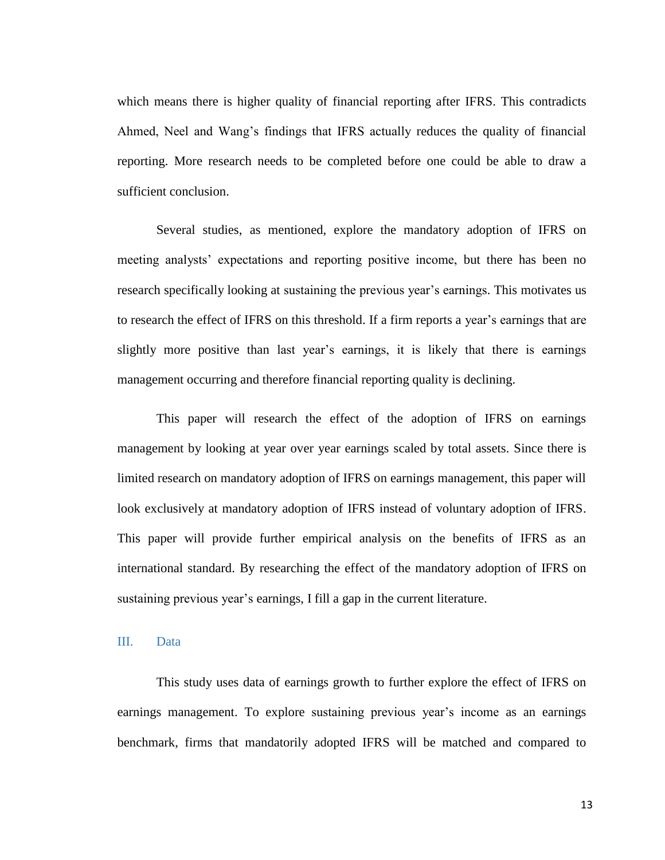which means there is higher quality of financial reporting after IFRS. This contradicts Ahmed, Neel and Wang's findings that IFRS actually reduces the quality of financial reporting. More research needs to be completed before one could be able to draw a sufficient conclusion.

Several studies, as mentioned, explore the mandatory adoption of IFRS on meeting analysts' expectations and reporting positive income, but there has been no research specifically looking at sustaining the previous year's earnings. This motivates us to research the effect of IFRS on this threshold. If a firm reports a year's earnings that are slightly more positive than last year's earnings, it is likely that there is earnings management occurring and therefore financial reporting quality is declining.

This paper will research the effect of the adoption of IFRS on earnings management by looking at year over year earnings scaled by total assets. Since there is limited research on mandatory adoption of IFRS on earnings management, this paper will look exclusively at mandatory adoption of IFRS instead of voluntary adoption of IFRS. This paper will provide further empirical analysis on the benefits of IFRS as an international standard. By researching the effect of the mandatory adoption of IFRS on sustaining previous year's earnings, I fill a gap in the current literature.

#### <span id="page-13-0"></span>III. Data

This study uses data of earnings growth to further explore the effect of IFRS on earnings management. To explore sustaining previous year's income as an earnings benchmark, firms that mandatorily adopted IFRS will be matched and compared to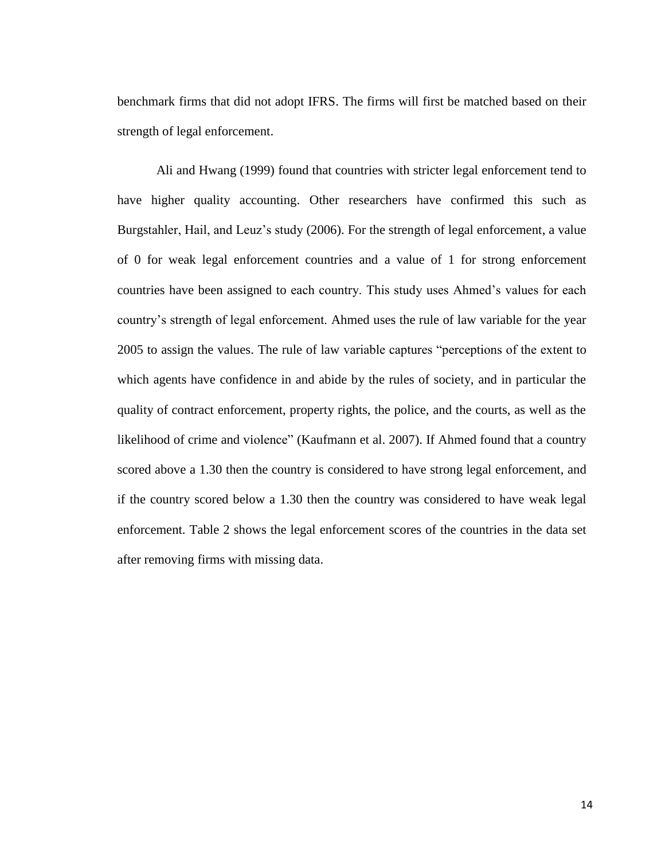benchmark firms that did not adopt IFRS. The firms will first be matched based on their strength of legal enforcement.

Ali and Hwang (1999) found that countries with stricter legal enforcement tend to have higher quality accounting. Other researchers have confirmed this such as Burgstahler, Hail, and Leuz's study (2006). For the strength of legal enforcement, a value of 0 for weak legal enforcement countries and a value of 1 for strong enforcement countries have been assigned to each country. This study uses Ahmed's values for each country's strength of legal enforcement. Ahmed uses the rule of law variable for the year 2005 to assign the values. The rule of law variable captures "perceptions of the extent to which agents have confidence in and abide by the rules of society, and in particular the quality of contract enforcement, property rights, the police, and the courts, as well as the likelihood of crime and violence" (Kaufmann et al. 2007). If Ahmed found that a country scored above a 1.30 then the country is considered to have strong legal enforcement, and if the country scored below a 1.30 then the country was considered to have weak legal enforcement. Table 2 shows the legal enforcement scores of the countries in the data set after removing firms with missing data.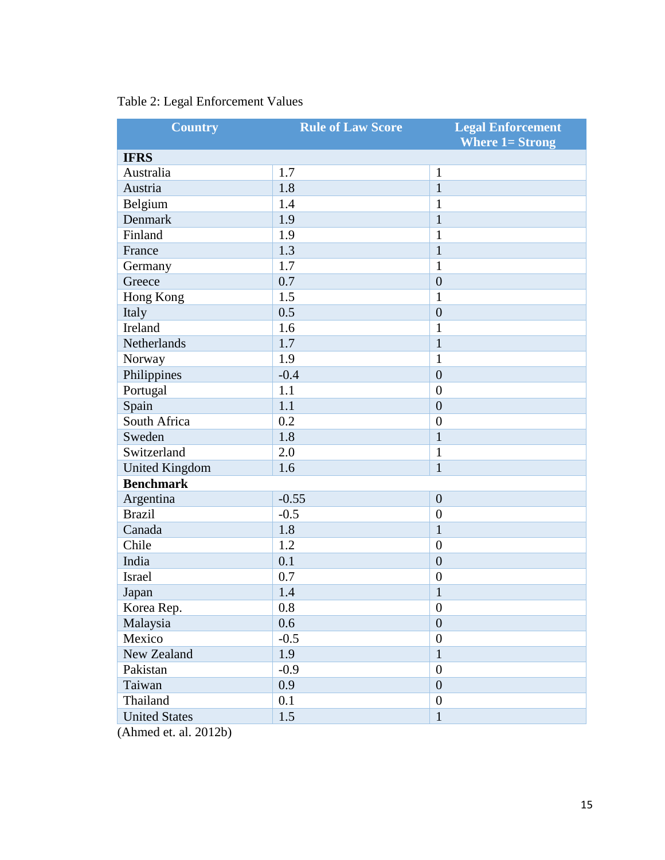|  |  | Table 2: Legal Enforcement Values |  |
|--|--|-----------------------------------|--|
|--|--|-----------------------------------|--|

| <b>Country</b>        | <b>Rule of Law Score</b> | <b>Legal Enforcement</b><br><b>Where 1= Strong</b> |
|-----------------------|--------------------------|----------------------------------------------------|
| <b>IFRS</b>           |                          |                                                    |
| Australia             | 1.7                      | $\mathbf{1}$                                       |
| Austria               | 1.8                      | $\mathbf{1}$                                       |
| Belgium               | 1.4                      | $\mathbf{1}$                                       |
| Denmark               | 1.9                      | $\mathbf{1}$                                       |
| Finland               | 1.9                      | $\mathbf 1$                                        |
| France                | 1.3                      | $\mathbf{1}$                                       |
| Germany               | 1.7                      | $\mathbf{1}$                                       |
| Greece                | 0.7                      | $\boldsymbol{0}$                                   |
| Hong Kong             | 1.5                      | 1                                                  |
| Italy                 | 0.5                      | $\overline{0}$                                     |
| Ireland               | 1.6                      | $\mathbf{1}$                                       |
| Netherlands           | 1.7                      | $\mathbf{1}$                                       |
| Norway                | 1.9                      | $\mathbf{1}$                                       |
| Philippines           | $-0.4$                   | $\overline{0}$                                     |
| Portugal              | 1.1                      | $\overline{0}$                                     |
| Spain                 | 1.1                      | $\boldsymbol{0}$                                   |
| South Africa          | 0.2                      | $\overline{0}$                                     |
| Sweden                | 1.8                      | $\mathbf{1}$                                       |
| Switzerland           | 2.0                      | $\mathbf{1}$                                       |
| <b>United Kingdom</b> | 1.6                      | $\mathbf{1}$                                       |
| <b>Benchmark</b>      |                          |                                                    |
| Argentina             | $-0.55$                  | $\overline{0}$                                     |
| <b>Brazil</b>         | $-0.5$                   | $\overline{0}$                                     |
| Canada                | 1.8                      | $\mathbf{1}$                                       |
| Chile                 | 1.2                      | $\overline{0}$                                     |
| India                 | 0.1                      | $\overline{0}$                                     |
| Israel                | 0.7                      | $\boldsymbol{0}$                                   |
| Japan                 | 1.4                      | $\mathbf{1}$                                       |
| Korea Rep.            | 0.8                      | $\theta$                                           |
| Malaysia              | 0.6                      | $\overline{0}$                                     |
| Mexico                | $-0.5$                   | $\boldsymbol{0}$                                   |
| New Zealand           | 1.9                      | $\mathbf{1}$                                       |
| Pakistan              | $-0.9$                   | $\overline{0}$                                     |
| Taiwan                | 0.9                      | $\overline{0}$                                     |
| Thailand              | 0.1                      | $\overline{0}$                                     |
| <b>United States</b>  | 1.5                      | $\mathbf{1}$                                       |
| (Ahmed et. al. 2012b) |                          |                                                    |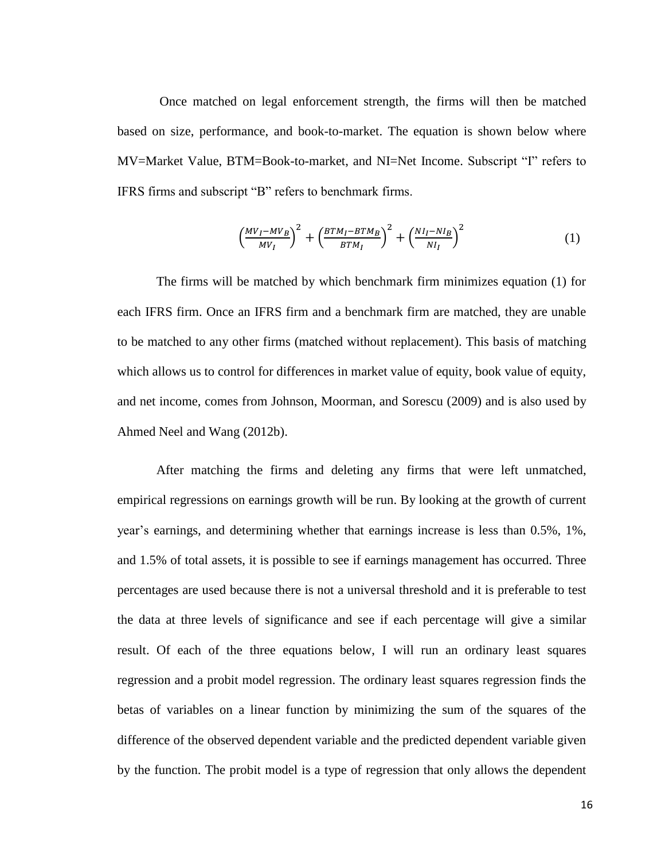Once matched on legal enforcement strength, the firms will then be matched based on size, performance, and book-to-market. The equation is shown below where MV=Market Value, BTM=Book-to-market, and NI=Net Income. Subscript "I" refers to IFRS firms and subscript "B" refers to benchmark firms.

$$
\left(\frac{MV_I - MV_B}{MV_I}\right)^2 + \left(\frac{BTM_I - BTM_B}{BTM_I}\right)^2 + \left(\frac{NI_I - NI_B}{NI_I}\right)^2 \tag{1}
$$

The firms will be matched by which benchmark firm minimizes equation (1) for each IFRS firm. Once an IFRS firm and a benchmark firm are matched, they are unable to be matched to any other firms (matched without replacement). This basis of matching which allows us to control for differences in market value of equity, book value of equity, and net income, comes from Johnson, Moorman, and Sorescu (2009) and is also used by Ahmed Neel and Wang (2012b).

After matching the firms and deleting any firms that were left unmatched, empirical regressions on earnings growth will be run. By looking at the growth of current year's earnings, and determining whether that earnings increase is less than 0.5%, 1%, and 1.5% of total assets, it is possible to see if earnings management has occurred. Three percentages are used because there is not a universal threshold and it is preferable to test the data at three levels of significance and see if each percentage will give a similar result. Of each of the three equations below, I will run an ordinary least squares regression and a probit model regression. The ordinary least squares regression finds the betas of variables on a linear function by minimizing the sum of the squares of the difference of the observed dependent variable and the predicted dependent variable given by the function. The probit model is a type of regression that only allows the dependent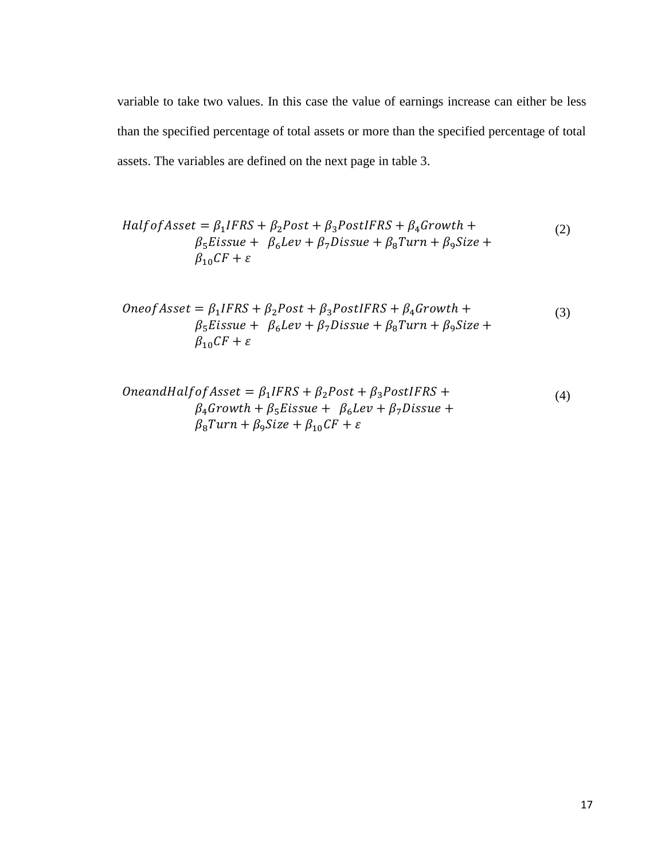variable to take two values. In this case the value of earnings increase can either be less than the specified percentage of total assets or more than the specified percentage of total assets. The variables are defined on the next page in table 3.

$$
Half of Asset = \beta_1 IFRS + \beta_2 Post + \beta_3 PostIFRS + \beta_4 Growth +
$$
  
\n
$$
\beta_5 Eis sue + \beta_6 Lev + \beta_7 Dissue + \beta_8 Turn + \beta_9 Size +
$$
  
\n
$$
\beta_{10} CF + \varepsilon
$$
 (2)

$$
Oneof Asset = \beta_1IFRS + \beta_2Post + \beta_3 PostIFRS + \beta_4 Growth + \beta_5Eissue + \beta_6Lev + \beta_7Dissue + \beta_8Turn + \beta_9Size + \beta_{10}CF + \varepsilon
$$
\n(3)

$$
One and Half of Asset = \beta_1 IFRS + \beta_2 Post + \beta_3 PostIFRS + \beta_4 Growth + \beta_5 Eissue + \beta_6 Lev + \beta_7 Dissue + \beta_8 Turn + \beta_9 Size + \beta_{10} CF + \varepsilon
$$
\n(4)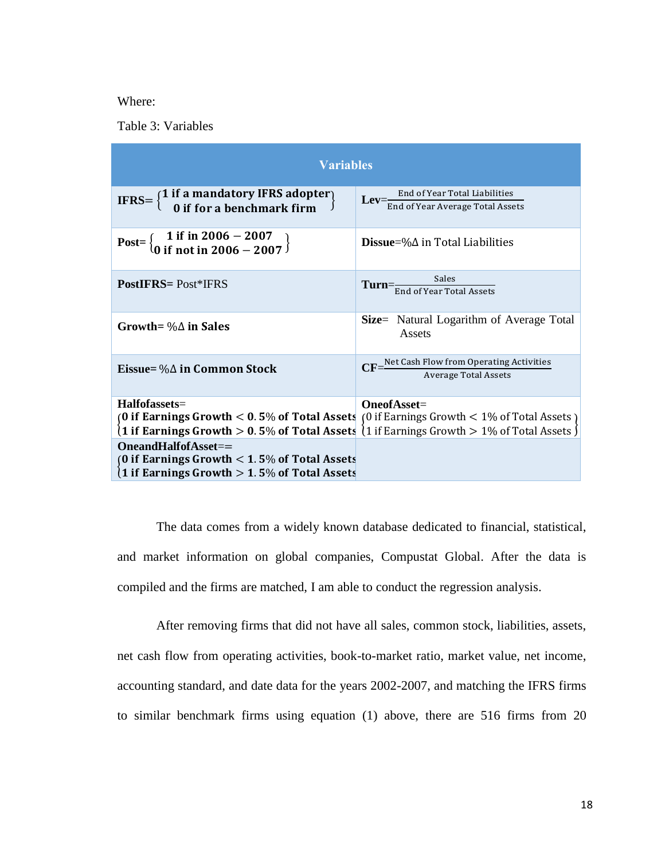### Where:

Table 3: Variables

| <b>Variables</b>                                                                                                                                                                             |                                                                           |  |  |  |  |
|----------------------------------------------------------------------------------------------------------------------------------------------------------------------------------------------|---------------------------------------------------------------------------|--|--|--|--|
| IFRS= $\{$ 1 if a mandatory IFRS adopter 0<br>0 if for a benchmark firm                                                                                                                      | Lev=<br>End of Year Total Liabilities<br>End of Year Average Total Assets |  |  |  |  |
| $Post = \begin{cases} 1 \text{ if in } 2006 - 2007 \\ 0 \text{ if not in } 2006 - 2007 \end{cases}$                                                                                          | <b>Dissue</b> = $\%$ $\Delta$ in Total Liabilities                        |  |  |  |  |
| <b>PostIFRS= Post*IFRS</b>                                                                                                                                                                   | $\textbf{Turn} = \frac{\text{Sales}}{\text{End of Year Total Assets}}$    |  |  |  |  |
| Growth= $\% \Delta$ in Sales                                                                                                                                                                 | Size = Natural Logarithm of Average Total<br>Assets                       |  |  |  |  |
| Eissue= $\% \Delta$ in Common Stock                                                                                                                                                          | CF=Net Cash Flow from Operating Activities<br>Average Total Assets        |  |  |  |  |
| Halfofassets=                                                                                                                                                                                | OneofAsset=                                                               |  |  |  |  |
| (0 if Earnings Growth $<$ 0.5% of Total Assets (0 if Earnings Growth $<$ 1% of Total Assets)<br>(1 if Earnings Growth $>$ 0.5% of Total Assets (1 if Earnings Growth $>$ 1% of Total Assets) |                                                                           |  |  |  |  |
|                                                                                                                                                                                              |                                                                           |  |  |  |  |
| OneandHalfofAsset==<br>0 if Earnings Growth $< 1.5\%$ of Total Assets<br>(1 if Earnings Growth $> 1.5\%$ of Total Assets                                                                     |                                                                           |  |  |  |  |

The data comes from a widely known database dedicated to financial, statistical, and market information on global companies, Compustat Global. After the data is compiled and the firms are matched, I am able to conduct the regression analysis.

After removing firms that did not have all sales, common stock, liabilities, assets, net cash flow from operating activities, book-to-market ratio, market value, net income, accounting standard, and date data for the years 2002-2007, and matching the IFRS firms to similar benchmark firms using equation (1) above, there are 516 firms from 20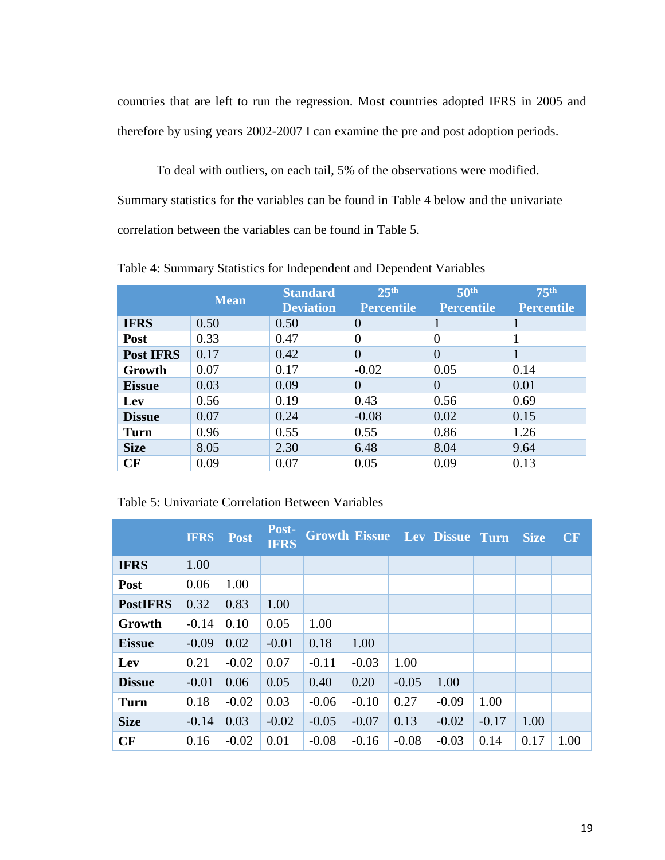countries that are left to run the regression. Most countries adopted IFRS in 2005 and therefore by using years 2002-2007 I can examine the pre and post adoption periods.

To deal with outliers, on each tail, 5% of the observations were modified. Summary statistics for the variables can be found in Table 4 below and the univariate correlation between the variables can be found in Table 5.

|                  | <b>Mean</b> | <b>Standard</b><br><b>Deviation</b> | 25 <sup>th</sup><br><b>Percentile</b> | 50 <sup>th</sup><br><b>Percentile</b> | 75 <sup>th</sup><br><b>Percentile</b> |
|------------------|-------------|-------------------------------------|---------------------------------------|---------------------------------------|---------------------------------------|
| <b>IFRS</b>      | 0.50        | 0.50                                | $\overline{0}$                        | 1                                     | 1                                     |
| Post             | 0.33        | 0.47                                | $\overline{0}$                        | $\Omega$                              |                                       |
| <b>Post IFRS</b> | 0.17        | 0.42                                | $\overline{0}$                        | $\Omega$                              |                                       |
| Growth           | 0.07        | 0.17                                | $-0.02$                               | 0.05                                  | 0.14                                  |
| <b>Eissue</b>    | 0.03        | 0.09                                | $\theta$                              | $\theta$                              | 0.01                                  |
| Lev              | 0.56        | 0.19                                | 0.43                                  | 0.56                                  | 0.69                                  |
| <b>Dissue</b>    | 0.07        | 0.24                                | $-0.08$                               | 0.02                                  | 0.15                                  |
| <b>Turn</b>      | 0.96        | 0.55                                | 0.55                                  | 0.86                                  | 1.26                                  |
| <b>Size</b>      | 8.05        | 2.30                                | 6.48                                  | 8.04                                  | 9.64                                  |
| CF               | 0.09        | 0.07                                | 0.05                                  | 0.09                                  | 0.13                                  |

Table 4: Summary Statistics for Independent and Dependent Variables

## Table 5: Univariate Correlation Between Variables

|                 | <b>IFRS</b> | <b>Post</b> | Post-<br><b>IFRS</b> |         |         |         | <b>Growth Eissue Lev Dissue Turn</b> |         | <b>Size</b> | <b>CF</b> |
|-----------------|-------------|-------------|----------------------|---------|---------|---------|--------------------------------------|---------|-------------|-----------|
| <b>IFRS</b>     | 1.00        |             |                      |         |         |         |                                      |         |             |           |
| Post            | 0.06        | 1.00        |                      |         |         |         |                                      |         |             |           |
| <b>PostIFRS</b> | 0.32        | 0.83        | 1.00                 |         |         |         |                                      |         |             |           |
| Growth          | $-0.14$     | 0.10        | 0.05                 | 1.00    |         |         |                                      |         |             |           |
| <b>Eissue</b>   | $-0.09$     | 0.02        | $-0.01$              | 0.18    | 1.00    |         |                                      |         |             |           |
| Lev             | 0.21        | $-0.02$     | 0.07                 | $-0.11$ | $-0.03$ | 1.00    |                                      |         |             |           |
| <b>Dissue</b>   | $-0.01$     | 0.06        | 0.05                 | 0.40    | 0.20    | $-0.05$ | 1.00                                 |         |             |           |
| <b>Turn</b>     | 0.18        | $-0.02$     | 0.03                 | $-0.06$ | $-0.10$ | 0.27    | $-0.09$                              | 1.00    |             |           |
| <b>Size</b>     | $-0.14$     | 0.03        | $-0.02$              | $-0.05$ | $-0.07$ | 0.13    | $-0.02$                              | $-0.17$ | 1.00        |           |
| CF              | 0.16        | $-0.02$     | 0.01                 | $-0.08$ | $-0.16$ | $-0.08$ | $-0.03$                              | 0.14    | 0.17        | 1.00      |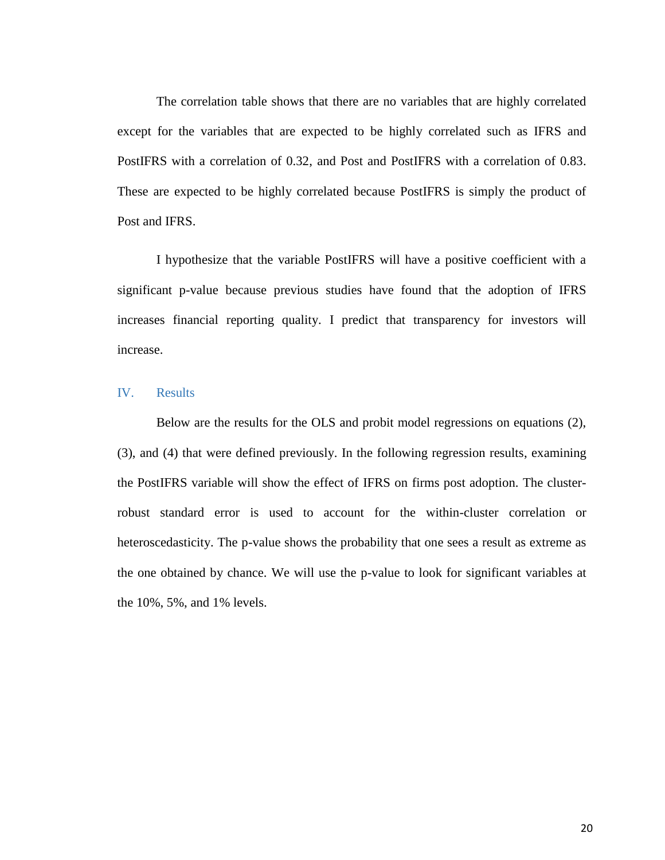The correlation table shows that there are no variables that are highly correlated except for the variables that are expected to be highly correlated such as IFRS and PostIFRS with a correlation of 0.32, and Post and PostIFRS with a correlation of 0.83. These are expected to be highly correlated because PostIFRS is simply the product of Post and IFRS.

I hypothesize that the variable PostIFRS will have a positive coefficient with a significant p-value because previous studies have found that the adoption of IFRS increases financial reporting quality. I predict that transparency for investors will increase.

## <span id="page-20-0"></span>IV. Results

Below are the results for the OLS and probit model regressions on equations (2), (3), and (4) that were defined previously. In the following regression results, examining the PostIFRS variable will show the effect of IFRS on firms post adoption. The clusterrobust standard error is used to account for the within-cluster correlation or heteroscedasticity. The p-value shows the probability that one sees a result as extreme as the one obtained by chance. We will use the p-value to look for significant variables at the 10%, 5%, and 1% levels.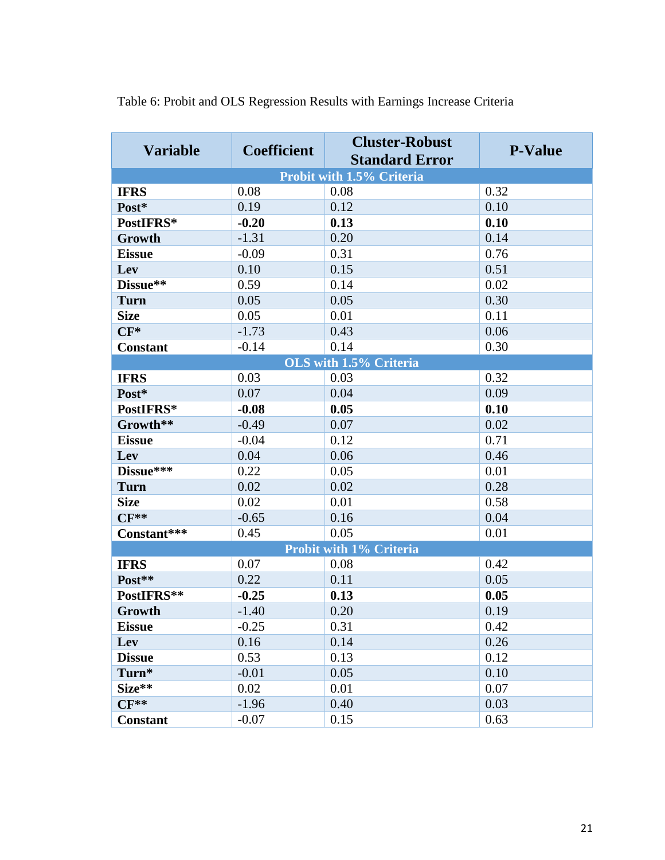| <b>Variable</b>                  | <b>Coefficient</b> | <b>Cluster-Robust</b><br><b>Standard Error</b> | <b>P-Value</b> |  |  |  |  |
|----------------------------------|--------------------|------------------------------------------------|----------------|--|--|--|--|
| <b>Probit with 1.5% Criteria</b> |                    |                                                |                |  |  |  |  |
| <b>IFRS</b>                      | 0.08               | 0.08                                           | 0.32           |  |  |  |  |
| Post*                            | 0.19               | 0.12                                           | 0.10           |  |  |  |  |
| PostIFRS*                        | $-0.20$            | 0.13                                           | 0.10           |  |  |  |  |
| Growth                           | $-1.31$            | 0.20                                           | 0.14           |  |  |  |  |
| <b>Eissue</b>                    | $-0.09$            | 0.31                                           | 0.76           |  |  |  |  |
| Lev                              | 0.10               | 0.15                                           | 0.51           |  |  |  |  |
| Dissue**                         | 0.59               | 0.14                                           | 0.02           |  |  |  |  |
| <b>Turn</b>                      | 0.05               | 0.05                                           | 0.30           |  |  |  |  |
| <b>Size</b>                      | 0.05               | 0.01                                           | 0.11           |  |  |  |  |
| $CF^*$                           | $-1.73$            | 0.43                                           | 0.06           |  |  |  |  |
| <b>Constant</b>                  | $-0.14$            | 0.14                                           | 0.30           |  |  |  |  |
|                                  |                    | OLS with 1.5% Criteria                         |                |  |  |  |  |
| <b>IFRS</b>                      | 0.03               | 0.03                                           | 0.32           |  |  |  |  |
| Post*                            | 0.07               | 0.04                                           | 0.09           |  |  |  |  |
| PostIFRS*                        | $-0.08$            | 0.05                                           | 0.10           |  |  |  |  |
| Growth**                         | $-0.49$            | 0.07                                           | 0.02           |  |  |  |  |
| <b>Eissue</b>                    | $-0.04$            | 0.12                                           | 0.71           |  |  |  |  |
| Lev                              | 0.04               | 0.06                                           | 0.46           |  |  |  |  |
| Dissue***                        | 0.22               | 0.05                                           | 0.01           |  |  |  |  |
| <b>Turn</b>                      | 0.02               | 0.02                                           | 0.28           |  |  |  |  |
| <b>Size</b>                      | 0.02               | 0.01                                           | 0.58           |  |  |  |  |
| $CF**$                           | $-0.65$            | 0.16                                           | 0.04           |  |  |  |  |
| Constant***                      | 0.45               | 0.05                                           | 0.01           |  |  |  |  |
|                                  |                    | <b>Probit with 1% Criteria</b>                 |                |  |  |  |  |
| <b>IFRS</b>                      | 0.07               | 0.08                                           | 0.42           |  |  |  |  |
| Post**                           | 0.22               | 0.11                                           | 0.05           |  |  |  |  |
| PostIFRS**                       | $-0.25$            | 0.13                                           | 0.05           |  |  |  |  |
| Growth                           | $-1.40$            | 0.20                                           | 0.19           |  |  |  |  |
| <b>Eissue</b>                    | $-0.25$            | 0.31                                           | 0.42           |  |  |  |  |
| Lev                              | 0.16               | 0.14                                           | 0.26           |  |  |  |  |
| <b>Dissue</b>                    | 0.53               | 0.13                                           | 0.12           |  |  |  |  |
| Turn*                            | $-0.01$            | 0.05                                           | 0.10           |  |  |  |  |
| Size**                           | 0.02               | 0.01                                           | 0.07           |  |  |  |  |
| $CF**$                           | $-1.96$            | 0.40                                           | 0.03           |  |  |  |  |
| <b>Constant</b>                  | $-0.07$            | 0.15                                           | 0.63           |  |  |  |  |

Table 6: Probit and OLS Regression Results with Earnings Increase Criteria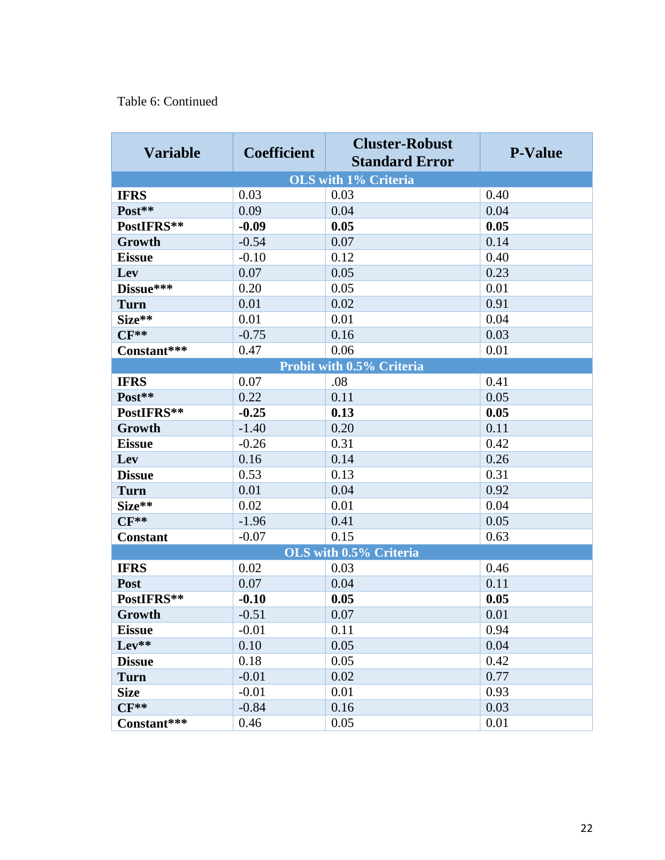# Table 6: Continued

| <b>Variable</b> | <b>Coefficient</b> | <b>Cluster-Robust</b><br><b>Standard Error</b> | <b>P-Value</b> |
|-----------------|--------------------|------------------------------------------------|----------------|
|                 |                    | <b>OLS</b> with 1% Criteria                    |                |
| <b>IFRS</b>     | 0.03               | 0.03                                           | 0.40           |
| Post**          | 0.09               | 0.04                                           | 0.04           |
| PostIFRS**      | $-0.09$            | 0.05                                           | 0.05           |
| <b>Growth</b>   | $-0.54$            | 0.07                                           | 0.14           |
| <b>Eissue</b>   | $-0.10$            | 0.12                                           | 0.40           |
| Lev             | 0.07               | 0.05                                           | 0.23           |
| Dissue***       | 0.20               | 0.05                                           | 0.01           |
| <b>Turn</b>     | 0.01               | 0.02                                           | 0.91           |
| Size**          | 0.01               | 0.01                                           | 0.04           |
| $CF**$          | $-0.75$            | 0.16                                           | 0.03           |
| Constant***     | 0.47               | 0.06                                           | 0.01           |
|                 |                    | Probit with 0.5% Criteria                      |                |
| <b>IFRS</b>     | 0.07               | .08                                            | 0.41           |
| Post**          | 0.22               | 0.11                                           | 0.05           |
| PostIFRS**      | $-0.25$            | 0.13                                           | 0.05           |
| Growth          | $-1.40$            | 0.20                                           | 0.11           |
| <b>Eissue</b>   | $-0.26$            | 0.31                                           | 0.42           |
| Lev             | 0.16               | 0.14                                           | 0.26           |
| <b>Dissue</b>   | 0.53               | 0.13                                           | 0.31           |
| <b>Turn</b>     | 0.01               | 0.04                                           | 0.92           |
| Size**          | 0.02               | 0.01                                           | 0.04           |
| $CF**$          | $-1.96$            | 0.41                                           | 0.05           |
| <b>Constant</b> | $-0.07$            | 0.15                                           | 0.63           |
|                 |                    | OLS with 0.5% Criteria                         |                |
| <b>IFRS</b>     | 0.02               | 0.03                                           | 0.46           |
| Post            | 0.07               | 0.04                                           | 0.11           |
| PostIFRS**      | $-0.10$            | 0.05                                           | 0.05           |
| Growth          | $-0.51$            | 0.07                                           | 0.01           |
| <b>Eissue</b>   | $-0.01$            | 0.11                                           | 0.94           |
| $Lev**$         | 0.10               | 0.05                                           | 0.04           |
| <b>Dissue</b>   | 0.18               | 0.05                                           | 0.42           |
| <b>Turn</b>     | $-0.01$            | 0.02                                           | 0.77           |
| <b>Size</b>     | $-0.01$            | 0.01                                           | 0.93           |
| $CF**$          | $-0.84$            | 0.16                                           | 0.03           |
| Constant***     | 0.46               | 0.05                                           | 0.01           |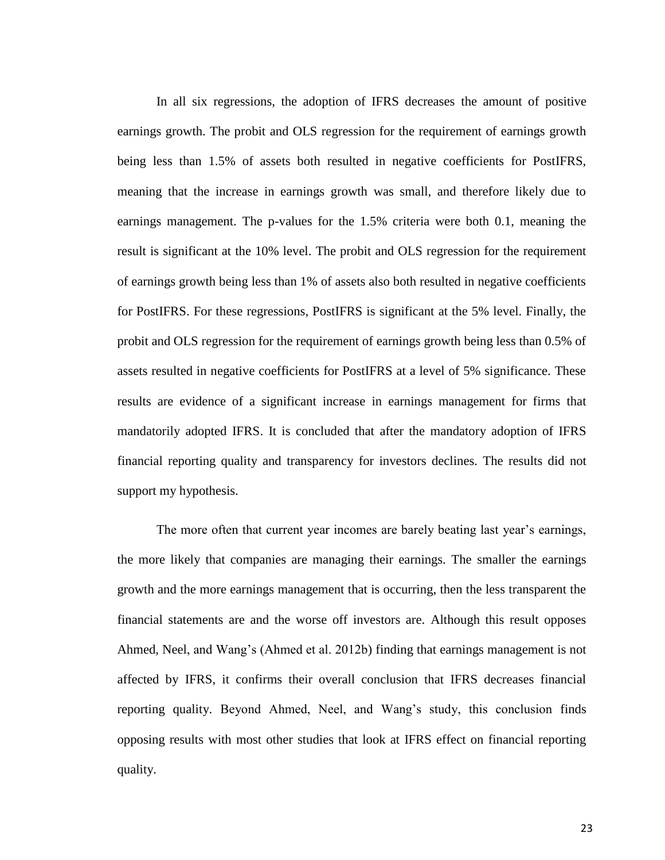In all six regressions, the adoption of IFRS decreases the amount of positive earnings growth. The probit and OLS regression for the requirement of earnings growth being less than 1.5% of assets both resulted in negative coefficients for PostIFRS, meaning that the increase in earnings growth was small, and therefore likely due to earnings management. The p-values for the 1.5% criteria were both 0.1, meaning the result is significant at the 10% level. The probit and OLS regression for the requirement of earnings growth being less than 1% of assets also both resulted in negative coefficients for PostIFRS. For these regressions, PostIFRS is significant at the 5% level. Finally, the probit and OLS regression for the requirement of earnings growth being less than 0.5% of assets resulted in negative coefficients for PostIFRS at a level of 5% significance. These results are evidence of a significant increase in earnings management for firms that mandatorily adopted IFRS. It is concluded that after the mandatory adoption of IFRS financial reporting quality and transparency for investors declines. The results did not support my hypothesis.

The more often that current year incomes are barely beating last year's earnings, the more likely that companies are managing their earnings. The smaller the earnings growth and the more earnings management that is occurring, then the less transparent the financial statements are and the worse off investors are. Although this result opposes Ahmed, Neel, and Wang's (Ahmed et al. 2012b) finding that earnings management is not affected by IFRS, it confirms their overall conclusion that IFRS decreases financial reporting quality. Beyond Ahmed, Neel, and Wang's study, this conclusion finds opposing results with most other studies that look at IFRS effect on financial reporting quality.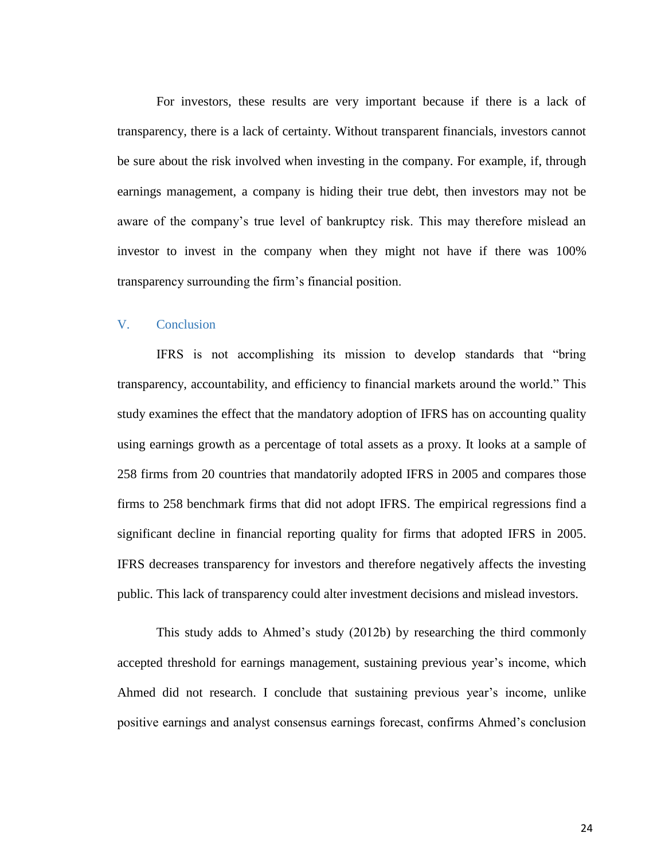For investors, these results are very important because if there is a lack of transparency, there is a lack of certainty. Without transparent financials, investors cannot be sure about the risk involved when investing in the company. For example, if, through earnings management, a company is hiding their true debt, then investors may not be aware of the company's true level of bankruptcy risk. This may therefore mislead an investor to invest in the company when they might not have if there was 100% transparency surrounding the firm's financial position.

## <span id="page-24-0"></span>V. Conclusion

IFRS is not accomplishing its mission to develop standards that "bring transparency, accountability, and efficiency to financial markets around the world." This study examines the effect that the mandatory adoption of IFRS has on accounting quality using earnings growth as a percentage of total assets as a proxy. It looks at a sample of 258 firms from 20 countries that mandatorily adopted IFRS in 2005 and compares those firms to 258 benchmark firms that did not adopt IFRS. The empirical regressions find a significant decline in financial reporting quality for firms that adopted IFRS in 2005. IFRS decreases transparency for investors and therefore negatively affects the investing public. This lack of transparency could alter investment decisions and mislead investors.

This study adds to Ahmed's study (2012b) by researching the third commonly accepted threshold for earnings management, sustaining previous year's income, which Ahmed did not research. I conclude that sustaining previous year's income, unlike positive earnings and analyst consensus earnings forecast, confirms Ahmed's conclusion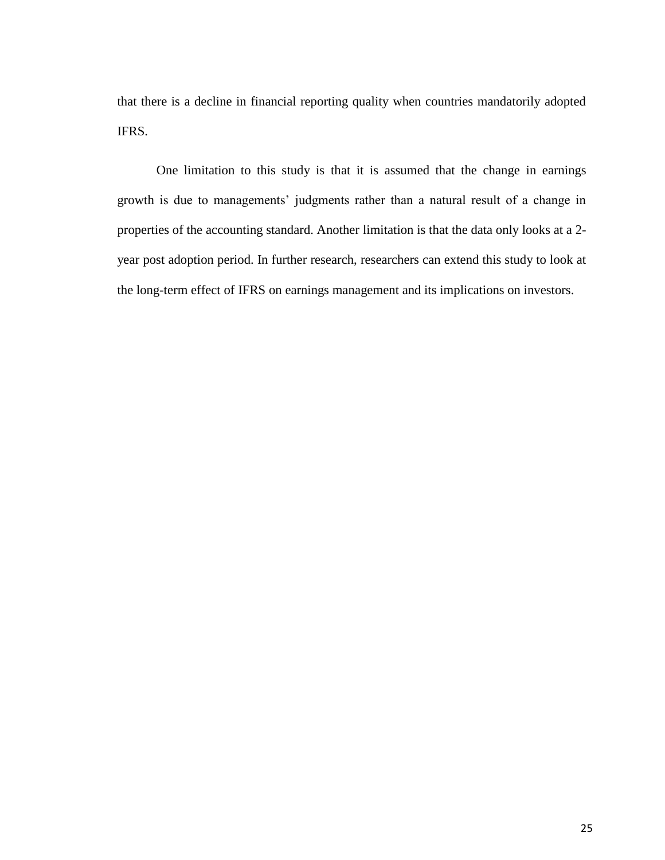that there is a decline in financial reporting quality when countries mandatorily adopted IFRS.

One limitation to this study is that it is assumed that the change in earnings growth is due to managements' judgments rather than a natural result of a change in properties of the accounting standard. Another limitation is that the data only looks at a 2 year post adoption period. In further research, researchers can extend this study to look at the long-term effect of IFRS on earnings management and its implications on investors.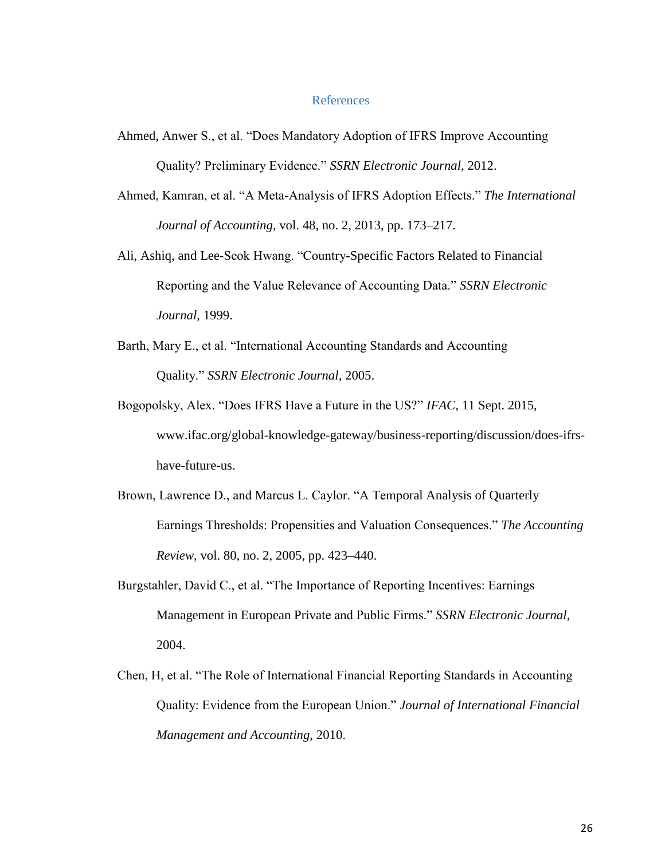# <span id="page-26-0"></span>**References**

- Ahmed, Anwer S., et al. "Does Mandatory Adoption of IFRS Improve Accounting Quality? Preliminary Evidence." *SSRN Electronic Journal*, 2012.
- Ahmed, Kamran, et al. "A Meta-Analysis of IFRS Adoption Effects." *The International Journal of Accounting*, vol. 48, no. 2, 2013, pp. 173–217.
- Ali, Ashiq, and Lee-Seok Hwang. "Country-Specific Factors Related to Financial Reporting and the Value Relevance of Accounting Data." *SSRN Electronic Journal*, 1999.
- Barth, Mary E., et al. "International Accounting Standards and Accounting Quality." *SSRN Electronic Journal*, 2005.
- Bogopolsky, Alex. "Does IFRS Have a Future in the US?" *IFAC*, 11 Sept. 2015, www.ifac.org/global-knowledge-gateway/business-reporting/discussion/does-ifrshave-future-us.
- Brown, Lawrence D., and Marcus L. Caylor. "A Temporal Analysis of Quarterly Earnings Thresholds: Propensities and Valuation Consequences." *The Accounting Review*, vol. 80, no. 2, 2005, pp. 423–440.
- Burgstahler, David C., et al. "The Importance of Reporting Incentives: Earnings Management in European Private and Public Firms." *SSRN Electronic Journal*, 2004.
- Chen, H, et al. "The Role of International Financial Reporting Standards in Accounting Quality: Evidence from the European Union." *Journal of International Financial Management and Accounting,* 2010.